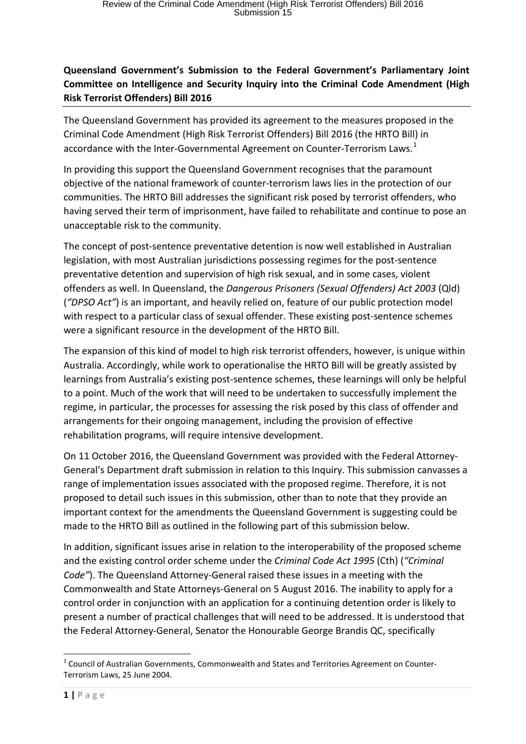## **Queensland Government's Submission to the Federal Government's Parliamentary Joint Committee on Intelligence and Security Inquiry into the Criminal Code Amendment (High Risk Terrorist Offenders) Bill 2016**

The Queensland Government has provided its agreement to the measures proposed in the Criminal Code Amendment (High Risk Terrorist Offenders) Bill 2016 (the HRTO Bill) in accordance with the Inter-Governmental Agreement on Counter-Terrorism Laws.<sup>[1](#page-0-0)</sup>

In providing this support the Queensland Government recognises that the paramount objective of the national framework of counter-terrorism laws lies in the protection of our communities. The HRTO Bill addresses the significant risk posed by terrorist offenders, who having served their term of imprisonment, have failed to rehabilitate and continue to pose an unacceptable risk to the community.

The concept of post-sentence preventative detention is now well established in Australian legislation, with most Australian jurisdictions possessing regimes for the post-sentence preventative detention and supervision of high risk sexual, and in some cases, violent offenders as well. In Queensland, the *Dangerous Prisoners (Sexual Offenders) Act 2003* (Qld) (*"DPSO Act"*) is an important, and heavily relied on, feature of our public protection model with respect to a particular class of sexual offender. These existing post-sentence schemes were a significant resource in the development of the HRTO Bill.

The expansion of this kind of model to high risk terrorist offenders, however, is unique within Australia. Accordingly, while work to operationalise the HRTO Bill will be greatly assisted by learnings from Australia's existing post-sentence schemes, these learnings will only be helpful to a point. Much of the work that will need to be undertaken to successfully implement the regime, in particular, the processes for assessing the risk posed by this class of offender and arrangements for their ongoing management, including the provision of effective rehabilitation programs, will require intensive development.

On 11 October 2016, the Queensland Government was provided with the Federal Attorney-General's Department draft submission in relation to this Inquiry. This submission canvasses a range of implementation issues associated with the proposed regime. Therefore, it is not proposed to detail such issues in this submission, other than to note that they provide an important context for the amendments the Queensland Government is suggesting could be made to the HRTO Bill as outlined in the following part of this submission below.

In addition, significant issues arise in relation to the interoperability of the proposed scheme and the existing control order scheme under the *Criminal Code Act 1995* (Cth) (*"Criminal Code"*). The Queensland Attorney-General raised these issues in a meeting with the Commonwealth and State Attorneys-General on 5 August 2016. The inability to apply for a control order in conjunction with an application for a continuing detention order is likely to present a number of practical challenges that will need to be addressed. It is understood that the Federal Attorney-General, Senator the Honourable George Brandis QC, specifically

<span id="page-0-0"></span> $1$  Council of Australian Governments, Commonwealth and States and Territories Agreement on Counter-Terrorism Laws, 25 June 2004.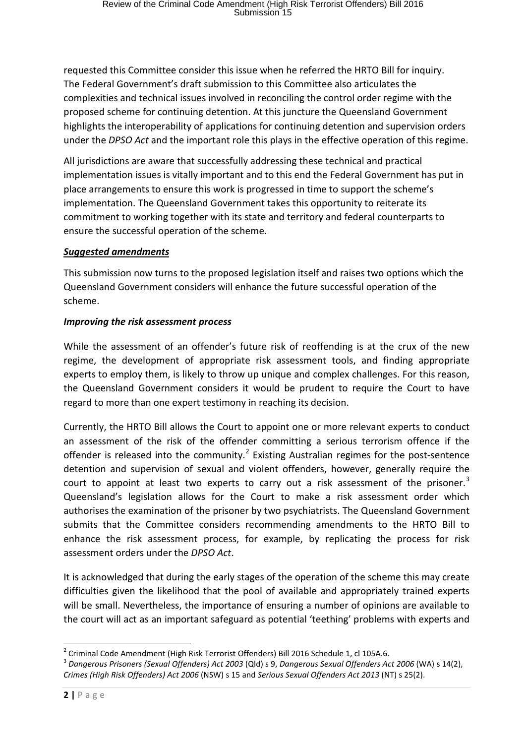requested this Committee consider this issue when he referred the HRTO Bill for inquiry. The Federal Government's draft submission to this Committee also articulates the complexities and technical issues involved in reconciling the control order regime with the proposed scheme for continuing detention. At this juncture the Queensland Government highlights the interoperability of applications for continuing detention and supervision orders under the *DPSO Act* and the important role this plays in the effective operation of this regime.

All jurisdictions are aware that successfully addressing these technical and practical implementation issues is vitally important and to this end the Federal Government has put in place arrangements to ensure this work is progressed in time to support the scheme's implementation. The Queensland Government takes this opportunity to reiterate its commitment to working together with its state and territory and federal counterparts to ensure the successful operation of the scheme.

## *Suggested amendments*

This submission now turns to the proposed legislation itself and raises two options which the Queensland Government considers will enhance the future successful operation of the scheme.

## *Improving the risk assessment process*

While the assessment of an offender's future risk of reoffending is at the crux of the new regime, the development of appropriate risk assessment tools, and finding appropriate experts to employ them, is likely to throw up unique and complex challenges. For this reason, the Queensland Government considers it would be prudent to require the Court to have regard to more than one expert testimony in reaching its decision.

Currently, the HRTO Bill allows the Court to appoint one or more relevant experts to conduct an assessment of the risk of the offender committing a serious terrorism offence if the offender is released into the community.<sup>[2](#page-1-0)</sup> Existing Australian regimes for the post-sentence detention and supervision of sexual and violent offenders, however, generally require the court to appoint at least two experts to carry out a risk assessment of the prisoner.<sup>[3](#page-1-1)</sup> Queensland's legislation allows for the Court to make a risk assessment order which authorises the examination of the prisoner by two psychiatrists. The Queensland Government submits that the Committee considers recommending amendments to the HRTO Bill to enhance the risk assessment process, for example, by replicating the process for risk assessment orders under the *DPSO Act*.

It is acknowledged that during the early stages of the operation of the scheme this may create difficulties given the likelihood that the pool of available and appropriately trained experts will be small. Nevertheless, the importance of ensuring a number of opinions are available to the court will act as an important safeguard as potential 'teething' problems with experts and

 $2$  Criminal Code Amendment (High Risk Terrorist Offenders) Bill 2016 Schedule 1, cl 105A.6.

<span id="page-1-1"></span><span id="page-1-0"></span><sup>3</sup> *Dangerous Prisoners (Sexual Offenders) Act 2003* (Qld) s 9, *Dangerous Sexual Offenders Act 2006* (WA) s 14(2), *Crimes (High Risk Offenders) Act 2006* (NSW) s 15 and *Serious Sexual Offenders Act 2013* (NT) s 25(2).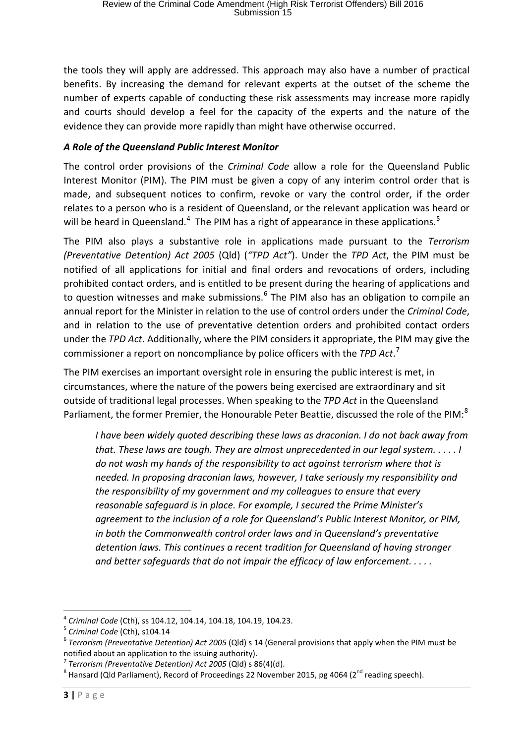the tools they will apply are addressed. This approach may also have a number of practical benefits. By increasing the demand for relevant experts at the outset of the scheme the number of experts capable of conducting these risk assessments may increase more rapidly and courts should develop a feel for the capacity of the experts and the nature of the evidence they can provide more rapidly than might have otherwise occurred.

## *A Role of the Queensland Public Interest Monitor*

The control order provisions of the *Criminal Code* allow a role for the Queensland Public Interest Monitor (PIM). The PIM must be given a copy of any interim control order that is made, and subsequent notices to confirm, revoke or vary the control order, if the order relates to a person who is a resident of Queensland, or the relevant application was heard or will be heard in Queensland.<sup>[4](#page-2-0)</sup> The PIM has a right of appearance in these applications.<sup>[5](#page-2-1)</sup>

The PIM also plays a substantive role in applications made pursuant to the *Terrorism (Preventative Detention) Act 2005* (Qld) (*"TPD Act"*). Under the *TPD Act*, the PIM must be notified of all applications for initial and final orders and revocations of orders, including prohibited contact orders, and is entitled to be present during the hearing of applications and to question witnesses and make submissions.<sup>[6](#page-2-2)</sup> The PIM also has an obligation to compile an annual report for the Minister in relation to the use of control orders under the *Criminal Code*, and in relation to the use of preventative detention orders and prohibited contact orders under the *TPD Act*. Additionally, where the PIM considers it appropriate, the PIM may give the commissioner a report on noncompliance by police officers with the *TPD Act*. [7](#page-2-3)

The PIM exercises an important oversight role in ensuring the public interest is met, in circumstances, where the nature of the powers being exercised are extraordinary and sit outside of traditional legal processes. When speaking to the *TPD Act* in the Queensland Parliament, the former Premier, the Honourable Peter Beattie, discussed the role of the PIM:<sup>[8](#page-2-4)</sup>

*I have been widely quoted describing these laws as draconian. I do not back away from that. These laws are tough. They are almost unprecedented in our legal system. . . . . I do not wash my hands of the responsibility to act against terrorism where that is needed. In proposing draconian laws, however, I take seriously my responsibility and the responsibility of my government and my colleagues to ensure that every reasonable safeguard is in place. For example, I secured the Prime Minister's agreement to the inclusion of a role for Queensland's Public Interest Monitor, or PIM, in both the Commonwealth control order laws and in Queensland's preventative detention laws. This continues a recent tradition for Queensland of having stronger and better safeguards that do not impair the efficacy of law enforcement. . . . .*

<span id="page-2-2"></span><span id="page-2-1"></span>

<span id="page-2-0"></span><sup>&</sup>lt;sup>4</sup> Criminal Code (Cth), ss 104.12, 104.14, 104.18, 104.19, 104.23.<br><sup>5</sup> Criminal Code (Cth), s104.14<br><sup>6</sup> Terrorism (Preventative Detention) Act 2005 (Qld) s 14 (General provisions that apply when the PIM must be notified about an application to the issuing authority).<br>
Terrorism (Preventative Detention) Act 2005 (Qld) s 86(4)(d).<br>
<sup>8</sup> Hansard (Qld Parliament). Record of Proceedings 22 November 2015. pg 4064 (2<sup>nd</sup> reading speech)

<span id="page-2-3"></span>

<span id="page-2-4"></span>